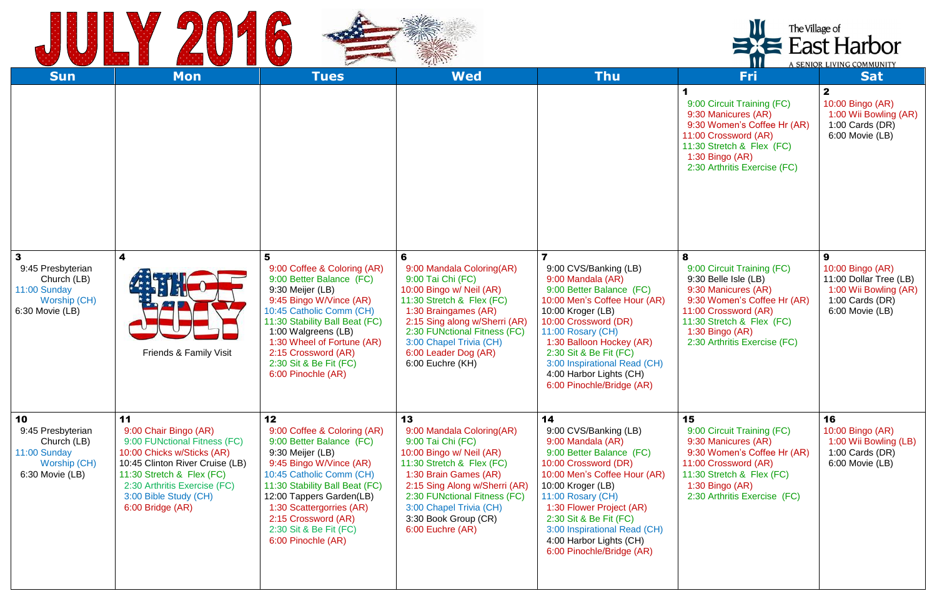



|                                                                                                                |                                                                                                                                                                                                                                        |                                                                                                                                                                                                                                                                                                                        | The Village of<br>E East Harbor<br>A SENIOR LIVING COMMUNITY                                                                                                                                                                                                                   |                                                                                                                                                                                                                                                                                                                                                   |                                                                                                                                                                                                                         |                                                                                                                  |
|----------------------------------------------------------------------------------------------------------------|----------------------------------------------------------------------------------------------------------------------------------------------------------------------------------------------------------------------------------------|------------------------------------------------------------------------------------------------------------------------------------------------------------------------------------------------------------------------------------------------------------------------------------------------------------------------|--------------------------------------------------------------------------------------------------------------------------------------------------------------------------------------------------------------------------------------------------------------------------------|---------------------------------------------------------------------------------------------------------------------------------------------------------------------------------------------------------------------------------------------------------------------------------------------------------------------------------------------------|-------------------------------------------------------------------------------------------------------------------------------------------------------------------------------------------------------------------------|------------------------------------------------------------------------------------------------------------------|
| <b>Sun</b>                                                                                                     | <b>Mon</b>                                                                                                                                                                                                                             | <b>Tues</b>                                                                                                                                                                                                                                                                                                            | <b>Wed</b>                                                                                                                                                                                                                                                                     | <b>Thu</b>                                                                                                                                                                                                                                                                                                                                        | <b>Fri</b>                                                                                                                                                                                                              | <b>Sat</b>                                                                                                       |
|                                                                                                                |                                                                                                                                                                                                                                        |                                                                                                                                                                                                                                                                                                                        |                                                                                                                                                                                                                                                                                |                                                                                                                                                                                                                                                                                                                                                   | 9:00 Circuit Training (FC)<br>9:30 Manicures (AR)<br>9:30 Women's Coffee Hr (AR)<br>11:00 Crossword (AR)<br>11:30 Stretch & Flex (FC)<br>1:30 Bingo $(AR)$<br>2:30 Arthritis Exercise (FC)                              | $\mathbf{2}$<br>10:00 Bingo (AR)<br>1:00 Wii Bowling (AR)<br>1:00 Cards $(DR)$<br>6:00 Movie (LB)                |
| $\overline{\mathbf{3}}$<br>9:45 Presbyterian<br>Church (LB)<br>11:00 Sunday<br>Worship (CH)<br>6:30 Movie (LB) | 4<br><b>Friends &amp; Family Visit</b>                                                                                                                                                                                                 | 5<br>9:00 Coffee & Coloring (AR)<br>9:00 Better Balance (FC)<br>9:30 Meijer (LB)<br>9:45 Bingo W/Vince (AR)<br>10:45 Catholic Comm (CH)<br>11:30 Stability Ball Beat (FC)<br>1:00 Walgreens (LB)<br>1:30 Wheel of Fortune (AR)<br>2:15 Crossword (AR)<br>2:30 Sit & Be Fit (FC)<br>6:00 Pinochle (AR)                  | 6<br>9:00 Mandala Coloring(AR)<br>9:00 Tai Chi (FC)<br>10:00 Bingo w/ Neil (AR)<br>11:30 Stretch & Flex (FC)<br>1:30 Braingames (AR)<br>2:15 Sing along w/Sherri (AR)<br>2:30 FUNctional Fitness (FC)<br>3:00 Chapel Trivia (CH)<br>6:00 Leader Dog (AR)<br>6:00 Euchre (KH)   | $\overline{\mathbf{z}}$<br>9:00 CVS/Banking (LB)<br>9:00 Mandala (AR)<br>9:00 Better Balance (FC)<br>10:00 Men's Coffee Hour (AR)<br>10:00 Kroger (LB)<br>10:00 Crossword (DR)<br>11:00 Rosary (CH)<br>1:30 Balloon Hockey (AR)<br>2:30 Sit & Be Fit (FC)<br>3:00 Inspirational Read (CH)<br>4:00 Harbor Lights (CH)<br>6:00 Pinochle/Bridge (AR) | 8<br>9:00 Circuit Training (FC)<br>9:30 Belle Isle (LB)<br>9:30 Manicures (AR)<br>9:30 Women's Coffee Hr (AR)<br>11:00 Crossword (AR)<br>11:30 Stretch & Flex (FC)<br>1:30 Bingo $(AR)$<br>2:30 Arthritis Exercise (FC) | 9<br>10:00 Bingo (AR)<br>11:00 Dollar Tree (LB)<br>1:00 Wii Bowling (AR)<br>1:00 Cards $(DR)$<br>6:00 Movie (LB) |
| 10<br>9:45 Presbyterian<br>Church (LB)<br>11:00 Sunday<br>Worship (CH)<br>6:30 Movie (LB)                      | 11<br>9:00 Chair Bingo (AR)<br>9:00 FUNctional Fitness (FC)<br>10:00 Chicks w/Sticks (AR)<br>10:45 Clinton River Cruise (LB)<br>11:30 Stretch & Flex (FC)<br>2:30 Arthritis Exercise (FC)<br>3:00 Bible Study (CH)<br>6:00 Bridge (AR) | 12 <sub>2</sub><br>9:00 Coffee & Coloring (AR)<br>9:00 Better Balance (FC)<br>9:30 Meijer (LB)<br>9:45 Bingo W/Vince (AR)<br>10:45 Catholic Comm (CH)<br>11:30 Stability Ball Beat (FC)<br>12:00 Tappers Garden(LB)<br>1:30 Scattergorries (AR)<br>2:15 Crossword (AR)<br>2:30 Sit & Be Fit (FC)<br>6:00 Pinochle (AR) | 13<br>9:00 Mandala Coloring(AR)<br>9:00 Tai Chi (FC)<br>10:00 Bingo w/ Neil (AR)<br>11:30 Stretch & Flex (FC)<br>1:30 Brain Games (AR)<br>2:15 Sing Along w/Sherri (AR)<br>2:30 FUNctional Fitness (FC)<br>3:00 Chapel Trivia (CH)<br>3:30 Book Group (CR)<br>6:00 Euchre (AR) | 14<br>9:00 CVS/Banking (LB)<br>9:00 Mandala (AR)<br>9:00 Better Balance (FC)<br>10:00 Crossword (DR)<br>10:00 Men's Coffee Hour (AR)<br>10:00 Kroger (LB)<br>11:00 Rosary (CH)<br>1:30 Flower Project (AR)<br>2:30 Sit & Be Fit (FC)<br>3:00 Inspirational Read (CH)<br>4:00 Harbor Lights (CH)<br>6:00 Pinochle/Bridge (AR)                      | 15<br>9:00 Circuit Training (FC)<br>9:30 Manicures (AR)<br>9:30 Women's Coffee Hr (AR)<br>11:00 Crossword (AR)<br>11:30 Stretch & Flex (FC)<br>1:30 Bingo $(AR)$<br>2:30 Arthritis Exercise (FC)                        | 16<br>10:00 Bingo (AR)<br>1:00 Wii Bowling (LB)<br>1:00 Cards (DR)<br>6:00 Movie (LB)                            |